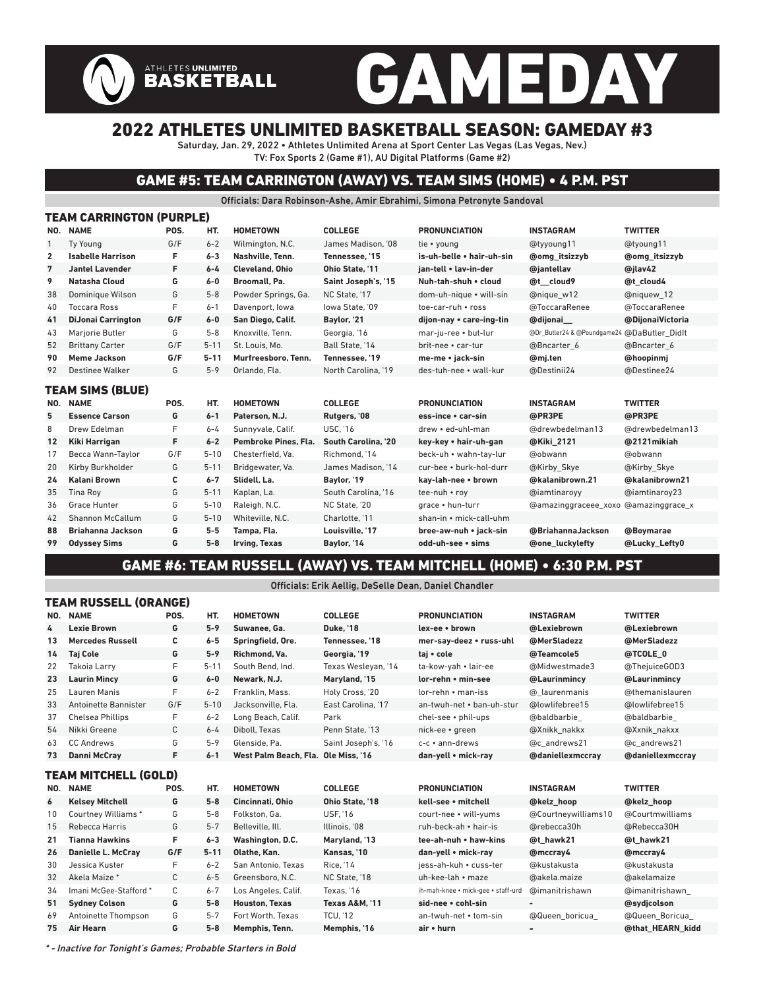# GAMEDAY

## 2022 ATHLETES UNLIMITED BASKETBALL SEASON: GAMEDAY #3

Saturday, Jan. 29, 2022 • Athletes Unlimited Arena at Sport Center Las Vegas (Las Vegas, Nev.) TV: Fox Sports 2 (Game #1), AU Digital Platforms (Game #2)

ATHLETES UNLIMITED<br>BASKETBALL

## GAME #5: TEAM CARRINGTON (AWAY) VS. TEAM SIMS (HOME) • 4 P.M. PST

Officials: Dara Robinson-Ashe, Amir Ebrahimi, Simona Petronyte Sandoval

|                | TEAM CARRINGTON (PURPLE)  |      |          |                        |                     |                           |                                             |                      |
|----------------|---------------------------|------|----------|------------------------|---------------------|---------------------------|---------------------------------------------|----------------------|
| NO.            | <b>NAME</b>               | POS. | HT.      | <b>HOMETOWN</b>        | <b>COLLEGE</b>      | <b>PRONUNCIATION</b>      | <b>INSTAGRAM</b>                            | <b>TWITTER</b>       |
| $\mathbf{1}$   | <b>Ty Young</b>           | G/F  | $6 - 2$  | Wilmington, N.C.       | James Madison. '08  | tie • young               | @tyyoung11                                  | @tyoung11            |
| $\overline{2}$ | <b>Isabelle Harrison</b>  | F    | $6 - 3$  | Nashville, Tenn.       | Tennessee, '15      | is-uh-belle • hair-uh-sin | <b>@omg</b> itsizzyb                        | <b>@omg</b> itsizzyb |
| 7              | <b>Jantel Lavender</b>    | F    | $6 - 4$  | <b>Cleveland, Ohio</b> | Ohio State. '11     | jan-tell . lav-in-der     | @jantellav                                  | @jlav42              |
| 9              | Natasha Cloud             | G    | $6-0$    | Broomall, Pa.          | Saint Joseph's, '15 | Nuh-tah-shuh • cloud      | @t cloud9                                   | @t cloud4            |
| 38             | Dominique Wilson          | G    | $5 - 8$  | Powder Springs, Ga.    | NC State. '17       | dom-uh-nique · will-sin   | @nique w12                                  | @niquew 12           |
| 40             | <b>Toccara Ross</b>       | F    | $6 - 1$  | Davenport, Iowa        | lowa State. '09     | toe-car-ruh • ross        | @ToccaraRenee                               | @ToccaraRenee        |
| 41             | <b>DiJonai Carrington</b> | G/F  | $6-0$    | San Diego, Calif.      | Baylor, '21         | dijon-nay • care-ing-tin  | @dijonai                                    | @DijonaiVictoria     |
| 43             | Marjorie Butler           | G    | $5 - 8$  | Knoxville. Tenn.       | Georgia, '16        | mar-ju-ree • but-lur      | @Dr_Butler24 & @Poundgame24 @DaButler_Didlt |                      |
| 52             | <b>Brittany Carter</b>    | G/F  | $5 - 11$ | St. Louis. Mo.         | Ball State, '14     | brit-nee • car-tur        | @Bncarter 6                                 | @Bncarter 6          |
| 90             | Meme Jackson              | G/F  | $5 - 11$ | Murfreesboro. Tenn.    | Tennessee. '19      | me-me • jack-sin          | @mj.ten                                     | @hoopinmj            |
| 92             | <b>Destinee Walker</b>    | G    | $5 - 9$  | Orlando. Fla.          | North Carolina. '19 | des-tuh-nee • wall-kur    | @Destinii24                                 | @Destinee24          |
|                | <b>TEAM SIMS (BLUE)</b>   |      |          |                        |                     |                           |                                             |                      |
| NO.            | <b>NAME</b>               | POS. | HT.      | <b>HOMETOWN</b>        | <b>COLLEGE</b>      | <b>PRONUNCIATION</b>      | <b>INSTAGRAM</b>                            | <b>TWITTER</b>       |
| 5              | <b>Essence Carson</b>     | G    | $6 - 1$  | Paterson, N.J.         | Rutgers, '08        | ess-ince • car-sin        | @PR3PE                                      | @PR3PE               |
| 8              | Drew Edelman              | F    | $6 - 4$  | Sunnyvale, Calif.      | <b>USC, '16</b>     | drew • ed-uhl-man         | @drewbedelman13                             | @drewbedelman13      |
| 12             | <b>Kiki Harrigan</b>      | F    | $6 - 2$  | Pembroke Pines, Fla.   | South Carolina. '20 | key-key • hair-uh-gan     | @Kiki 2121                                  | @2121mikiah          |
| 17             | Becca Wann-Taylor         | G/F  | $5 - 10$ | Chesterfield. Va.      | Richmond. '14       | beck-uh • wahn-tay-lur    | @obwann                                     | @obwann              |
| 20             | Kirby Burkholder          | G    | $5 - 11$ | Bridgewater, Va.       | James Madison. '14  | cur-bee • burk-hol-durr   | @Kirby Skye                                 | @Kirby Skye          |
| 24             | <b>Kalani Brown</b>       | c    | $6 - 7$  | Slidell, La.           | Baylor, '19         | kay-lah-nee • brown       | @kalanibrown.21                             | @kalanibrown21       |
| 35             | <b>Tina Roy</b>           | G    | $5 - 11$ | Kaplan, La.            | South Carolina, '16 | tee-nuh • roy             | @iamtinaroyy                                | @iamtinaroy23        |
| 36             | Grace Hunter              | G    | $5 - 10$ | Raleigh, N.C.          | NC State, '20       | grace . hun-turr          | @amazinggraceee_xoxo @amazinggrace_x        |                      |
| 42             | Shannon McCallum          | G    | $5 - 10$ | Whiteville, N.C.       | Charlotte. '11      | shan-in • mick-call-uhm   |                                             |                      |
| 88             | <b>Briahanna Jackson</b>  | G    | $5-5$    | Tampa, Fla.            | Louisville. '17     | bree-aw-nuh • jack-sin    | @BriahannaJackson                           | @Boymarae            |
| 99             | <b>Odyssey Sims</b>       |      |          |                        |                     |                           |                                             |                      |
|                |                           | G    | $5-8$    | Irving, Texas          | Baylor, '14         | odd-uh-see • sims         | @one luckylefty                             | @Lucky_Lefty0        |

### GAME #6: TEAM RUSSELL (AWAY) VS. TEAM MITCHELL (HOME) • 6:30 P.M. PST

#### Officials: Erik Aellig, DeSelle Dean, Daniel Chandler

|     | TEAM RUSSELL (ORANGE)     |      |          |                                     |                           |                                    |                     |                  |
|-----|---------------------------|------|----------|-------------------------------------|---------------------------|------------------------------------|---------------------|------------------|
| NO. | <b>NAME</b>               | POS. | HT.      | <b>HOMETOWN</b>                     | <b>COLLEGE</b>            | <b>PRONUNCIATION</b>               | <b>INSTAGRAM</b>    | <b>TWITTER</b>   |
| 4   | <b>Lexie Brown</b>        | G    | $5 - 9$  | Suwanee, Ga.                        | <b>Duke. '18</b>          | lex-ee • brown                     | @Lexiebrown         | @Lexiebrown      |
| 13  | <b>Mercedes Russell</b>   | C    | $6-5$    | Springfield, Ore.                   | Tennessee. '18            | mer-say-deez • russ-uhl            | @MerSladezz         | @MerSladezz      |
| 14  | <b>Taj Cole</b>           | G    | $5 - 9$  | Richmond, Va.                       | Georgia, '19              | taj • cole                         | @Teamcole5          | @TCOLE 0         |
| 22  | Takoia Larry              | F    | $5 - 11$ | South Bend, Ind.                    | Texas Wesleyan, '14       | ta-kow-yah • lair-ee               | @Midwestmade3       | @ThejuiceGOD3    |
| 23  | <b>Laurin Mincy</b>       | G    | $6-0$    | Newark, N.J.                        | Maryland, '15             | lor-rehn • min-see                 | @Laurinmincv        | @Laurinmincv     |
| 25  | Lauren Manis              | F    | $6 - 2$  | Franklin, Mass.                     | Holy Cross, '20           | lor-rehn • man-iss                 | @ laurenmanis       | @themanislauren  |
| 33  | Antoinette Bannister      | G/F  | $5 - 10$ | Jacksonville. Fla.                  | East Carolina, '17        | an-twuh-net • ban-uh-stur          | @lowlifebree15      | @lowlifebree15   |
| 37  | <b>Chelsea Phillips</b>   | F    | $6 - 2$  | Long Beach, Calif.                  | Park                      | chel-see • phil-ups                | @baldbarbie         | @baldbarbie      |
| 54  | Nikki Greene              | C    | $6 - 4$  | Diboll. Texas                       | Penn State. '13           | nick-ee • areen                    | @Xnikk nakkx        | @Xxnik nakxx     |
| 63  | <b>CC Andrews</b>         | G    | $5 - 9$  | Glenside, Pa.                       | Saint Joseph's, '16       | $c-c \cdot$ ann-drews              | @c andrews21        | @c andrews21     |
| 73  | Danni McCray              | F    | $6 - 1$  | West Palm Beach, Fla. Ole Miss, '16 |                           | dan-yell • mick-ray                | @daniellexmccray    | @daniellexmccray |
|     | TEAM MITCHELL (GOLD)      |      |          |                                     |                           |                                    |                     |                  |
| NO. | <b>NAME</b>               | POS. | HT.      | <b>HOMETOWN</b>                     | <b>COLLEGE</b>            | <b>PRONUNCIATION</b>               | <b>INSTAGRAM</b>    | <b>TWITTER</b>   |
| 6   | <b>Kelsey Mitchell</b>    | G    | $5-8$    | Cincinnati, Ohio                    | Ohio State, '18           | kell-see • mitchell                | @kelz hoop          | @kelz hoop       |
| 10  | <b>Courtney Williams*</b> | G    | $5 - 8$  | Folkston, Ga.                       | <b>USF, '16</b>           | court-nee • will-yums              | @Courtneywilliams10 | @Courtmwilliams  |
| 15  | Rebecca Harris            | G    | $5 - 7$  | Belleville, Ill.                    | Illinois, '08             | ruh-beck-ah • hair-is              | @rebecca30h         | @Rebecca30H      |
| 21  | <b>Tianna Hawkins</b>     | F    | $6 - 3$  | Washington, D.C.                    | Maryland, '13             | tee-ah-nuh • haw-kins              | @t hawk21           | @t hawk21        |
| 26  | Danielle L. McCray        | G/F  | $5 - 11$ | Olathe, Kan.                        | Kansas, '10               | dan-yell • mick-ray                | @mccray4            | @mccray4         |
| 30  | Jessica Kuster            | F    | $6 - 2$  | San Antonio. Texas                  | <b>Rice, '14</b>          | iess-ah-kuh • cuss-ter             | @kustakusta         | @kustakusta      |
| 32  | Akela Maize*              | С    | $6 - 5$  | Greensboro, N.C.                    | NC State, '18             | uh-kee-lah • maze                  | @akela.maize        | @akelamaize      |
| 34  | Imani McGee-Stafford *    | C    | $6 - 7$  | Los Angeles, Calif.                 | Texas, '16                | ih-mah-knee • mick-gee • staff-urd | @imanitrishawn      | @imanitrishawn   |
| 51  | <b>Sydney Colson</b>      | G    | $5 - 8$  | <b>Houston, Texas</b>               | <b>Texas A&amp;M. '11</b> | sid-nee • cohl-sin                 |                     | @sydicolson      |
| 69  | Antoinette Thompson       | G    | $5 - 7$  | Fort Worth, Texas                   | <b>TCU, '12</b>           | an-twuh-net • tom-sin              | @Queen boricua      | @Queen Boricua   |
| 75  |                           |      |          |                                     |                           |                                    |                     |                  |

\* - Inactive for Tonight's Games; Probable Starters in Bold